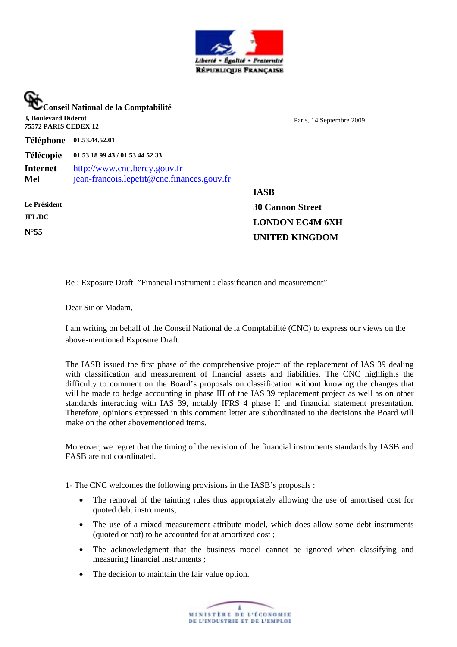

**Conseil National de la Comptabilité 3, Boulevard Diderot 75572 PARIS CEDEX 12** Paris, 14 Septembre 2009 **Téléphone 01.53.44.52.01 Télécopie 01 53 18 99 43 / 01 53 44 52 33 Internet** [http://www.cnc.bercy.gouv.fr](http://www.cnc.bercy.gouv.fr/) **Mel** [jean-francois.lepetit@cnc.finances.gouv.fr](mailto:jean-francois.lepetit@cnc.finances.gouv.fr) **Le Président JFL/DC N°55 IASB 30 Cannon Street LONDON EC4M 6XH UNITED KINGDOM**

Re : Exposure Draft "Financial instrument : classification and measurement"

Dear Sir or Madam,

I am writing on behalf of the Conseil National de la Comptabilité (CNC) to express our views on the above-mentioned Exposure Draft.

The IASB issued the first phase of the comprehensive project of the replacement of IAS 39 dealing with classification and measurement of financial assets and liabilities. The CNC highlights the difficulty to comment on the Board's proposals on classification without knowing the changes that will be made to hedge accounting in phase III of the IAS 39 replacement project as well as on other standards interacting with IAS 39, notably IFRS 4 phase II and financial statement presentation. Therefore, opinions expressed in this comment letter are subordinated to the decisions the Board will make on the other abovementioned items.

Moreover, we regret that the timing of the revision of the financial instruments standards by IASB and FASB are not coordinated.

1- The CNC welcomes the following provisions in the IASB's proposals :

- The removal of the tainting rules thus appropriately allowing the use of amortised cost for quoted debt instruments;
- The use of a mixed measurement attribute model, which does allow some debt instruments (quoted or not) to be accounted for at amortized cost ;
- The acknowledgment that the business model cannot be ignored when classifying and measuring financial instruments ;
- The decision to maintain the fair value option.

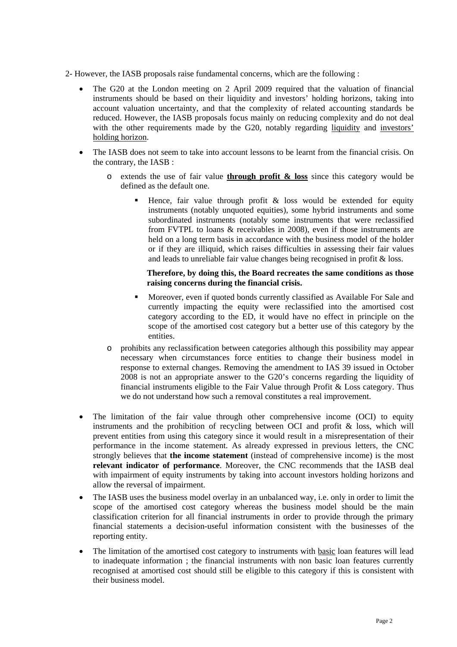- 2- However, the IASB proposals raise fundamental concerns, which are the following :
	- The G20 at the London meeting on 2 April 2009 required that the valuation of financial instruments should be based on their liquidity and investors' holding horizons, taking into account valuation uncertainty, and that the complexity of related accounting standards be reduced. However, the IASB proposals focus mainly on reducing complexity and do not deal with the other requirements made by the G20, notably regarding liquidity and investors' holding horizon.
	- The IASB does not seem to take into account lessons to be learnt from the financial crisis. On the contrary, the IASB :
		- o extends the use of fair value **through profit & loss** since this category would be defined as the default one.
			- Hence, fair value through profit  $\&$  loss would be extended for equity instruments (notably unquoted equities), some hybrid instruments and some subordinated instruments (notably some instruments that were reclassified from FVTPL to loans & receivables in 2008), even if those instruments are held on a long term basis in accordance with the business model of the holder or if they are illiquid, which raises difficulties in assessing their fair values and leads to unreliable fair value changes being recognised in profit & loss.

#### **Therefore, by doing this, the Board recreates the same conditions as those raising concerns during the financial crisis.**

- ! Moreover, even if quoted bonds currently classified as Available For Sale and currently impacting the equity were reclassified into the amortised cost category according to the ED, it would have no effect in principle on the scope of the amortised cost category but a better use of this category by the entities.
- o prohibits any reclassification between categories although this possibility may appear necessary when circumstances force entities to change their business model in response to external changes. Removing the amendment to IAS 39 issued in October 2008 is not an appropriate answer to the G20's concerns regarding the liquidity of financial instruments eligible to the Fair Value through Profit & Loss category. Thus we do not understand how such a removal constitutes a real improvement.
- The limitation of the fair value through other comprehensive income (OCI) to equity instruments and the prohibition of recycling between OCI and profit & loss, which will prevent entities from using this category since it would result in a misrepresentation of their performance in the income statement. As already expressed in previous letters, the CNC strongly believes that **the income statement** (instead of comprehensive income) is the most **relevant indicator of performance**. Moreover, the CNC recommends that the IASB deal with impairment of equity instruments by taking into account investors holding horizons and allow the reversal of impairment.
- The IASB uses the business model overlay in an unbalanced way, i.e. only in order to limit the scope of the amortised cost category whereas the business model should be the main classification criterion for all financial instruments in order to provide through the primary financial statements a decision-useful information consistent with the businesses of the reporting entity.
- The limitation of the amortised cost category to instruments with basic loan features will lead to inadequate information ; the financial instruments with non basic loan features currently recognised at amortised cost should still be eligible to this category if this is consistent with their business model.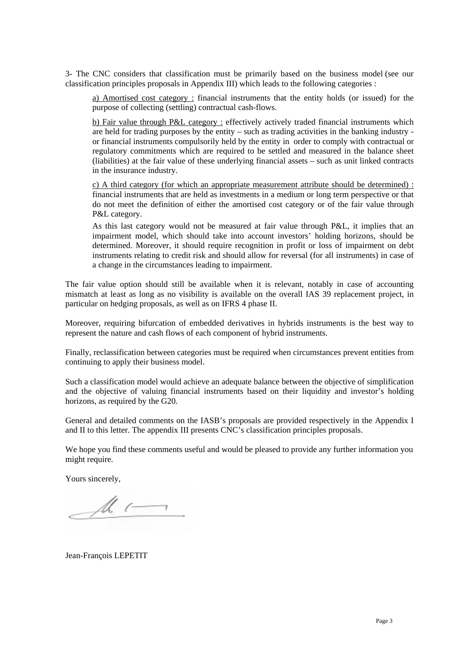3- The CNC considers that classification must be primarily based on the business model (see our classification principles proposals in Appendix III) which leads to the following categories :

a) Amortised cost category : financial instruments that the entity holds (or issued) for the purpose of collecting (settling) contractual cash-flows.

b) Fair value through P&L category : effectively actively traded financial instruments which are held for trading purposes by the entity – such as trading activities in the banking industry or financial instruments compulsorily held by the entity in order to comply with contractual or regulatory commitments which are required to be settled and measured in the balance sheet (liabilities) at the fair value of these underlying financial assets – such as unit linked contracts in the insurance industry.

c) A third category (for which an appropriate measurement attribute should be determined) : financial instruments that are held as investments in a medium or long term perspective or that do not meet the definition of either the amortised cost category or of the fair value through P&L category.

As this last category would not be measured at fair value through P&L, it implies that an impairment model, which should take into account investors' holding horizons, should be determined. Moreover, it should require recognition in profit or loss of impairment on debt instruments relating to credit risk and should allow for reversal (for all instruments) in case of a change in the circumstances leading to impairment.

The fair value option should still be available when it is relevant, notably in case of accounting mismatch at least as long as no visibility is available on the overall IAS 39 replacement project, in particular on hedging proposals, as well as on IFRS 4 phase II.

Moreover, requiring bifurcation of embedded derivatives in hybrids instruments is the best way to represent the nature and cash flows of each component of hybrid instruments.

Finally, reclassification between categories must be required when circumstances prevent entities from continuing to apply their business model.

Such a classification model would achieve an adequate balance between the objective of simplification and the objective of valuing financial instruments based on their liquidity and investor's holding horizons, as required by the G20.

General and detailed comments on the IASB's proposals are provided respectively in the Appendix I and II to this letter. The appendix III presents CNC's classification principles proposals.

We hope you find these comments useful and would be pleased to provide any further information you might require.

Yours sincerely,

 $\mathcal{M}$ 

Jean-François LEPETIT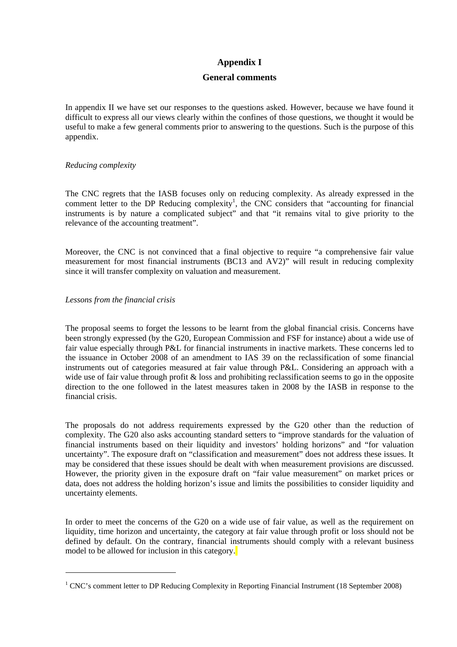# **Appendix I**

# **General comments**

In appendix II we have set our responses to the questions asked. However, because we have found it difficult to express all our views clearly within the confines of those questions, we thought it would be useful to make a few general comments prior to answering to the questions. Such is the purpose of this appendix.

#### *Reducing complexity*

The CNC regrets that the IASB focuses only on reducing complexity. As already expressed in the comment letter to the DP Reducing complexity<sup>[1](#page-3-0)</sup>, the CNC considers that "accounting for financial instruments is by nature a complicated subject" and that "it remains vital to give priority to the relevance of the accounting treatment".

Moreover, the CNC is not convinced that a final objective to require "a comprehensive fair value measurement for most financial instruments (BC13 and AV2)" will result in reducing complexity since it will transfer complexity on valuation and measurement.

#### *Lessons from the financial crisis*

 $\overline{a}$ 

The proposal seems to forget the lessons to be learnt from the global financial crisis. Concerns have been strongly expressed (by the G20, European Commission and FSF for instance) about a wide use of fair value especially through P&L for financial instruments in inactive markets. These concerns led to the issuance in October 2008 of an amendment to IAS 39 on the reclassification of some financial instruments out of categories measured at fair value through P&L. Considering an approach with a wide use of fair value through profit  $\&$  loss and prohibiting reclassification seems to go in the opposite direction to the one followed in the latest measures taken in 2008 by the IASB in response to the financial crisis.

The proposals do not address requirements expressed by the G20 other than the reduction of complexity. The G20 also asks accounting standard setters to "improve standards for the valuation of financial instruments based on their liquidity and investors' holding horizons" and "for valuation uncertainty". The exposure draft on "classification and measurement" does not address these issues. It may be considered that these issues should be dealt with when measurement provisions are discussed. However, the priority given in the exposure draft on "fair value measurement" on market prices or data, does not address the holding horizon's issue and limits the possibilities to consider liquidity and uncertainty elements.

In order to meet the concerns of the G20 on a wide use of fair value, as well as the requirement on liquidity, time horizon and uncertainty, the category at fair value through profit or loss should not be defined by default. On the contrary, financial instruments should comply with a relevant business model to be allowed for inclusion in this category.

<span id="page-3-0"></span><sup>&</sup>lt;sup>1</sup> CNC's comment letter to DP Reducing Complexity in Reporting Financial Instrument (18 September 2008)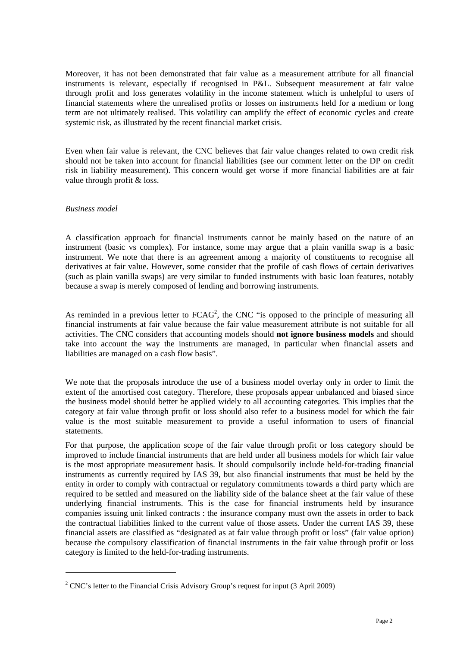Moreover, it has not been demonstrated that fair value as a measurement attribute for all financial instruments is relevant, especially if recognised in P&L. Subsequent measurement at fair value through profit and loss generates volatility in the income statement which is unhelpful to users of financial statements where the unrealised profits or losses on instruments held for a medium or long term are not ultimately realised. This volatility can amplify the effect of economic cycles and create systemic risk, as illustrated by the recent financial market crisis.

Even when fair value is relevant, the CNC believes that fair value changes related to own credit risk should not be taken into account for financial liabilities (see our comment letter on the DP on credit risk in liability measurement). This concern would get worse if more financial liabilities are at fair value through profit & loss.

#### *Business model*

 $\overline{a}$ 

A classification approach for financial instruments cannot be mainly based on the nature of an instrument (basic vs complex). For instance, some may argue that a plain vanilla swap is a basic instrument. We note that there is an agreement among a majority of constituents to recognise all derivatives at fair value. However, some consider that the profile of cash flows of certain derivatives (such as plain vanilla swaps) are very similar to funded instruments with basic loan features, notably because a swap is merely composed of lending and borrowing instruments.

As reminded in a previous letter to  $FCAG<sup>2</sup>$ , the CNC "is opposed to the principle of measuring all financial instruments at fair value because the fair value measurement attribute is not suitable for all activities. The CNC considers that accounting models should **not ignore business models** and should take into account the way the instruments are managed, in particular when financial assets and liabilities are managed on a cash flow basis".

We note that the proposals introduce the use of a business model overlay only in order to limit the extent of the amortised cost category. Therefore, these proposals appear unbalanced and biased since the business model should better be applied widely to all accounting categories*.* This implies that the category at fair value through profit or loss should also refer to a business model for which the fair value is the most suitable measurement to provide a useful information to users of financial statements.

For that purpose, the application scope of the fair value through profit or loss category should be improved to include financial instruments that are held under all business models for which fair value is the most appropriate measurement basis. It should compulsorily include held-for-trading financial instruments as currently required by IAS 39, but also financial instruments that must be held by the entity in order to comply with contractual or regulatory commitments towards a third party which are required to be settled and measured on the liability side of the balance sheet at the fair value of these underlying financial instruments. This is the case for financial instruments held by insurance companies issuing unit linked contracts : the insurance company must own the assets in order to back the contractual liabilities linked to the current value of those assets. Under the current IAS 39, these financial assets are classified as "designated as at fair value through profit or loss" (fair value option) because the compulsory classification of financial instruments in the fair value through profit or loss category is limited to the held-for-trading instruments.

<span id="page-4-0"></span><sup>&</sup>lt;sup>2</sup> CNC's letter to the Financial Crisis Advisory Group's request for input (3 April 2009)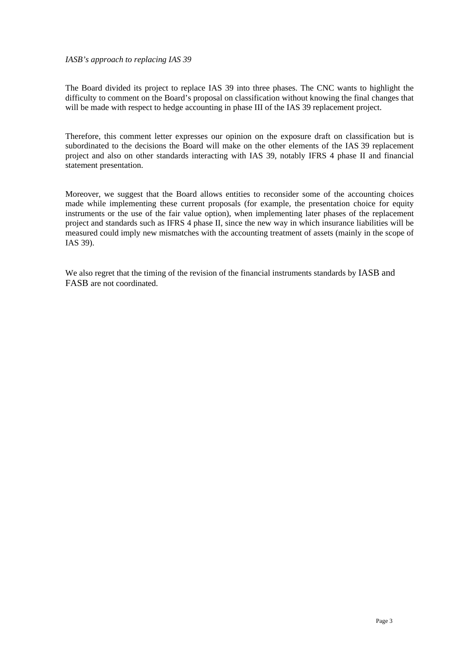#### *IASB's approach to replacing IAS 39*

The Board divided its project to replace IAS 39 into three phases. The CNC wants to highlight the difficulty to comment on the Board's proposal on classification without knowing the final changes that will be made with respect to hedge accounting in phase III of the IAS 39 replacement project.

Therefore, this comment letter expresses our opinion on the exposure draft on classification but is subordinated to the decisions the Board will make on the other elements of the IAS 39 replacement project and also on other standards interacting with IAS 39, notably IFRS 4 phase II and financial statement presentation.

Moreover, we suggest that the Board allows entities to reconsider some of the accounting choices made while implementing these current proposals (for example, the presentation choice for equity instruments or the use of the fair value option), when implementing later phases of the replacement project and standards such as IFRS 4 phase II, since the new way in which insurance liabilities will be measured could imply new mismatches with the accounting treatment of assets (mainly in the scope of IAS 39).

We also regret that the timing of the revision of the financial instruments standards by IASB and FASB are not coordinated.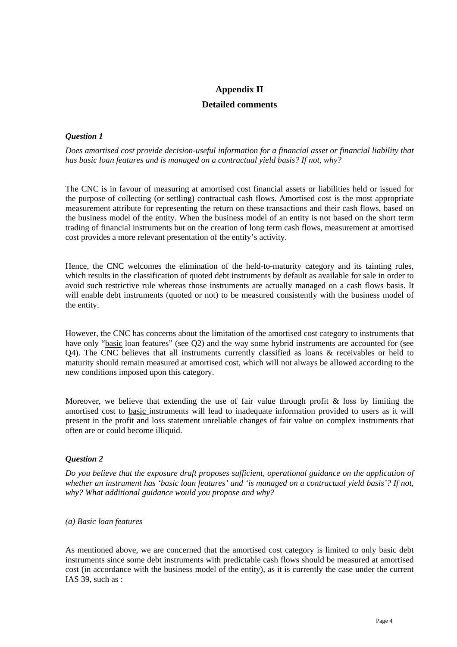# **Appendix II Detailed comments**

# *Question 1*

*Does amortised cost provide decision-useful information for a financial asset or financial liability that has basic loan features and is managed on a contractual yield basis? If not, why?*

The CNC is in favour of measuring at amortised cost financial assets or liabilities held or issued for the purpose of collecting (or settling) contractual cash flows. Amortised cost is the most appropriate measurement attribute for representing the return on these transactions and their cash flows, based on the business model of the entity. When the business model of an entity is not based on the short term trading of financial instruments but on the creation of long term cash flows, measurement at amortised cost provides a more relevant presentation of the entity's activity.

Hence, the CNC welcomes the elimination of the held-to-maturity category and its tainting rules, which results in the classification of quoted debt instruments by default as available for sale in order to avoid such restrictive rule whereas those instruments are actually managed on a cash flows basis. It will enable debt instruments (quoted or not) to be measured consistently with the business model of the entity.

However, the CNC has concerns about the limitation of the amortised cost category to instruments that have only "basic loan features" (see Q2) and the way some hybrid instruments are accounted for (see Q4). The CNC believes that all instruments currently classified as loans & receivables or held to maturity should remain measured at amortised cost, which will not always be allowed according to the new conditions imposed upon this category.

Moreover, we believe that extending the use of fair value through profit  $\&$  loss by limiting the amortised cost to basic instruments will lead to inadequate information provided to users as it will present in the profit and loss statement unreliable changes of fair value on complex instruments that often are or could become illiquid.

# *Question 2*

*Do you believe that the exposure draft proposes sufficient, operational guidance on the application of whether an instrument has 'basic loan features' and 'is managed on a contractual yield basis'? If not, why? What additional guidance would you propose and why?*

#### *(a) Basic loan features*

As mentioned above, we are concerned that the amortised cost category is limited to only basic debt instruments since some debt instruments with predictable cash flows should be measured at amortised cost (in accordance with the business model of the entity), as it is currently the case under the current IAS 39, such as :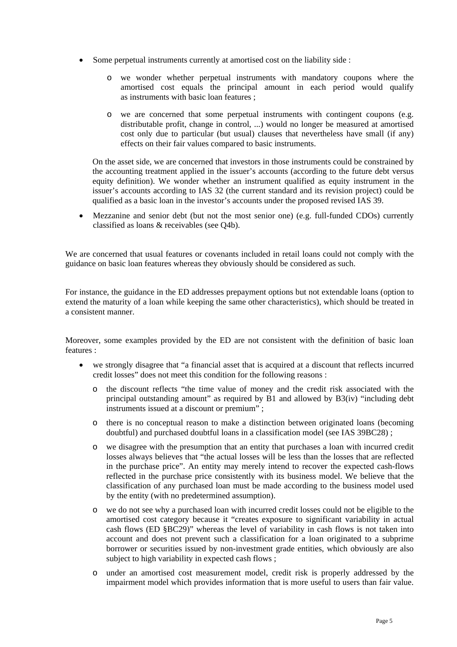- Some perpetual instruments currently at amortised cost on the liability side :
	- o we wonder whether perpetual instruments with mandatory coupons where the amortised cost equals the principal amount in each period would qualify as instruments with basic loan features ;
	- o we are concerned that some perpetual instruments with contingent coupons (e.g. distributable profit, change in control, ...) would no longer be measured at amortised cost only due to particular (but usual) clauses that nevertheless have small (if any) effects on their fair values compared to basic instruments.

On the asset side, we are concerned that investors in those instruments could be constrained by the accounting treatment applied in the issuer's accounts (according to the future debt versus equity definition). We wonder whether an instrument qualified as equity instrument in the issuer's accounts according to IAS 32 (the current standard and its revision project) could be qualified as a basic loan in the investor's accounts under the proposed revised IAS 39.

• Mezzanine and senior debt (but not the most senior one) (e.g. full-funded CDOs) currently classified as loans & receivables (see Q4b).

We are concerned that usual features or covenants included in retail loans could not comply with the guidance on basic loan features whereas they obviously should be considered as such.

For instance, the guidance in the ED addresses prepayment options but not extendable loans (option to extend the maturity of a loan while keeping the same other characteristics), which should be treated in a consistent manner.

Moreover, some examples provided by the ED are not consistent with the definition of basic loan features :

- we strongly disagree that "a financial asset that is acquired at a discount that reflects incurred credit losses" does not meet this condition for the following reasons :
	- o the discount reflects "the time value of money and the credit risk associated with the principal outstanding amount" as required by B1 and allowed by B3(iv) "including debt instruments issued at a discount or premium" ;
	- o there is no conceptual reason to make a distinction between originated loans (becoming doubtful) and purchased doubtful loans in a classification model (see IAS 39BC28) ;
	- o we disagree with the presumption that an entity that purchases a loan with incurred credit losses always believes that "the actual losses will be less than the losses that are reflected in the purchase price". An entity may merely intend to recover the expected cash-flows reflected in the purchase price consistently with its business model. We believe that the classification of any purchased loan must be made according to the business model used by the entity (with no predetermined assumption).
	- o we do not see why a purchased loan with incurred credit losses could not be eligible to the amortised cost category because it "creates exposure to significant variability in actual cash flows (ED §BC29)" whereas the level of variability in cash flows is not taken into account and does not prevent such a classification for a loan originated to a subprime borrower or securities issued by non-investment grade entities, which obviously are also subject to high variability in expected cash flows ;
	- o under an amortised cost measurement model, credit risk is properly addressed by the impairment model which provides information that is more useful to users than fair value.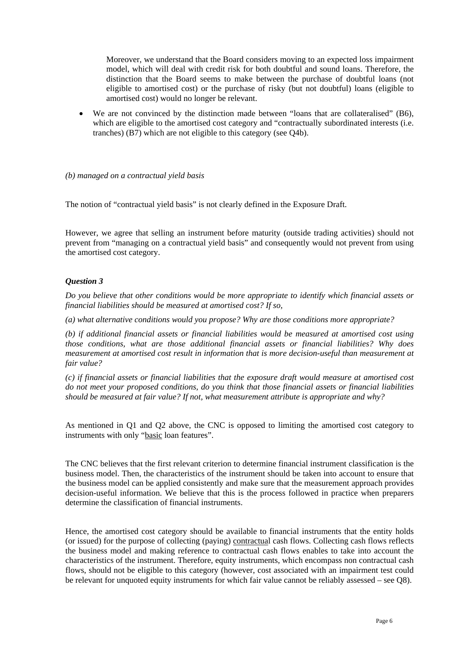Moreover, we understand that the Board considers moving to an expected loss impairment model, which will deal with credit risk for both doubtful and sound loans. Therefore, the distinction that the Board seems to make between the purchase of doubtful loans (not eligible to amortised cost) or the purchase of risky (but not doubtful) loans (eligible to amortised cost) would no longer be relevant.

• We are not convinced by the distinction made between "loans that are collateralised" (B6), which are eligible to the amortised cost category and "contractually subordinated interests (i.e. tranches) (B7) which are not eligible to this category (see Q4b).

#### *(b) managed on a contractual yield basis*

The notion of "contractual yield basis" is not clearly defined in the Exposure Draft.

However, we agree that selling an instrument before maturity (outside trading activities) should not prevent from "managing on a contractual yield basis" and consequently would not prevent from using the amortised cost category.

# *Question 3*

*Do you believe that other conditions would be more appropriate to identify which financial assets or financial liabilities should be measured at amortised cost? If so,* 

*(a) what alternative conditions would you propose? Why are those conditions more appropriate?*

*(b) if additional financial assets or financial liabilities would be measured at amortised cost using those conditions, what are those additional financial assets or financial liabilities? Why does measurement at amortised cost result in information that is more decision-useful than measurement at fair value?*

*(c) if financial assets or financial liabilities that the exposure draft would measure at amortised cost do not meet your proposed conditions, do you think that those financial assets or financial liabilities should be measured at fair value? If not, what measurement attribute is appropriate and why?*

As mentioned in Q1 and Q2 above, the CNC is opposed to limiting the amortised cost category to instruments with only "basic loan features".

The CNC believes that the first relevant criterion to determine financial instrument classification is the business model. Then, the characteristics of the instrument should be taken into account to ensure that the business model can be applied consistently and make sure that the measurement approach provides decision-useful information. We believe that this is the process followed in practice when preparers determine the classification of financial instruments.

Hence, the amortised cost category should be available to financial instruments that the entity holds (or issued) for the purpose of collecting (paying) contractual cash flows. Collecting cash flows reflects the business model and making reference to contractual cash flows enables to take into account the characteristics of the instrument. Therefore, equity instruments, which encompass non contractual cash flows, should not be eligible to this category (however, cost associated with an impairment test could be relevant for unquoted equity instruments for which fair value cannot be reliably assessed – see Q8).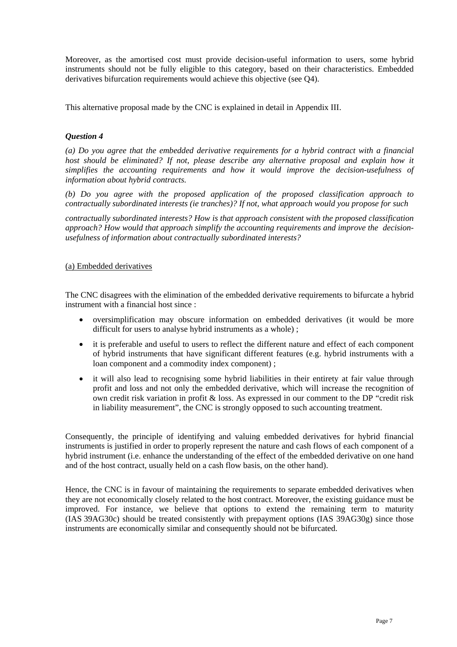Moreover, as the amortised cost must provide decision-useful information to users, some hybrid instruments should not be fully eligible to this category, based on their characteristics. Embedded derivatives bifurcation requirements would achieve this objective (see Q4).

This alternative proposal made by the CNC is explained in detail in Appendix III.

# *Question 4*

*(a) Do you agree that the embedded derivative requirements for a hybrid contract with a financial host should be eliminated? If not, please describe any alternative proposal and explain how it simplifies the accounting requirements and how it would improve the decision-usefulness of information about hybrid contracts.*

*(b) Do you agree with the proposed application of the proposed classification approach to contractually subordinated interests (ie tranches)? If not, what approach would you propose for such*

*contractually subordinated interests? How is that approach consistent with the proposed classification approach? How would that approach simplify the accounting requirements and improve the decisionusefulness of information about contractually subordinated interests?*

# (a) Embedded derivatives

The CNC disagrees with the elimination of the embedded derivative requirements to bifurcate a hybrid instrument with a financial host since :

- oversimplification may obscure information on embedded derivatives (it would be more difficult for users to analyse hybrid instruments as a whole) ;
- it is preferable and useful to users to reflect the different nature and effect of each component of hybrid instruments that have significant different features (e.g. hybrid instruments with a loan component and a commodity index component) ;
- it will also lead to recognising some hybrid liabilities in their entirety at fair value through profit and loss and not only the embedded derivative, which will increase the recognition of own credit risk variation in profit & loss. As expressed in our comment to the DP "credit risk in liability measurement", the CNC is strongly opposed to such accounting treatment.

Consequently, the principle of identifying and valuing embedded derivatives for hybrid financial instruments is justified in order to properly represent the nature and cash flows of each component of a hybrid instrument (i.e. enhance the understanding of the effect of the embedded derivative on one hand and of the host contract, usually held on a cash flow basis, on the other hand).

Hence, the CNC is in favour of maintaining the requirements to separate embedded derivatives when they are not economically closely related to the host contract. Moreover, the existing guidance must be improved. For instance, we believe that options to extend the remaining term to maturity (IAS 39AG30c) should be treated consistently with prepayment options (IAS 39AG30g) since those instruments are economically similar and consequently should not be bifurcated.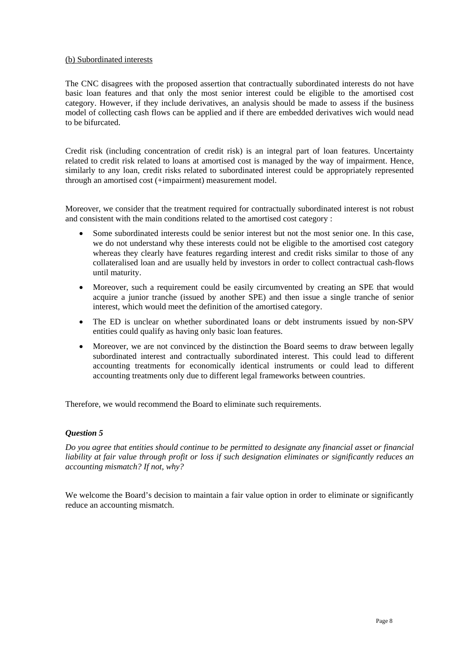## (b) Subordinated interests

The CNC disagrees with the proposed assertion that contractually subordinated interests do not have basic loan features and that only the most senior interest could be eligible to the amortised cost category. However, if they include derivatives, an analysis should be made to assess if the business model of collecting cash flows can be applied and if there are embedded derivatives wich would nead to be bifurcated.

Credit risk (including concentration of credit risk) is an integral part of loan features. Uncertainty related to credit risk related to loans at amortised cost is managed by the way of impairment. Hence, similarly to any loan, credit risks related to subordinated interest could be appropriately represented through an amortised cost (+impairment) measurement model.

Moreover, we consider that the treatment required for contractually subordinated interest is not robust and consistent with the main conditions related to the amortised cost category :

- Some subordinated interests could be senior interest but not the most senior one. In this case, we do not understand why these interests could not be eligible to the amortised cost category whereas they clearly have features regarding interest and credit risks similar to those of any collateralised loan and are usually held by investors in order to collect contractual cash-flows until maturity.
- Moreover, such a requirement could be easily circumvented by creating an SPE that would acquire a junior tranche (issued by another SPE) and then issue a single tranche of senior interest, which would meet the definition of the amortised category.
- The ED is unclear on whether subordinated loans or debt instruments issued by non-SPV entities could qualify as having only basic loan features.
- Moreover, we are not convinced by the distinction the Board seems to draw between legally subordinated interest and contractually subordinated interest. This could lead to different accounting treatments for economically identical instruments or could lead to different accounting treatments only due to different legal frameworks between countries.

Therefore, we would recommend the Board to eliminate such requirements.

# *Question 5*

*Do you agree that entities should continue to be permitted to designate any financial asset or financial liability at fair value through profit or loss if such designation eliminates or significantly reduces an accounting mismatch? If not, why?*

We welcome the Board's decision to maintain a fair value option in order to eliminate or significantly reduce an accounting mismatch.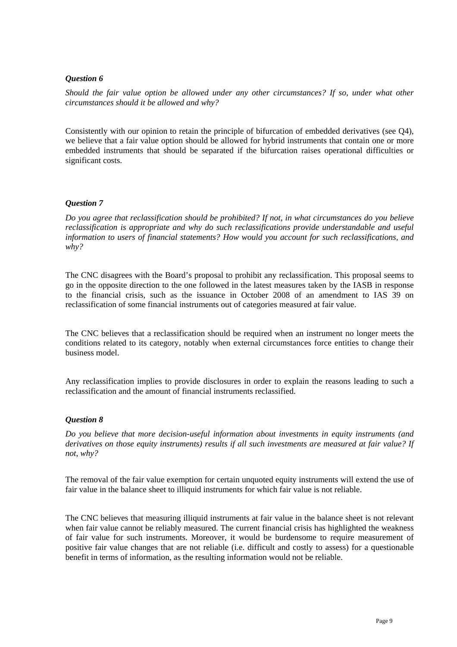## *Question 6*

*Should the fair value option be allowed under any other circumstances? If so, under what other circumstances should it be allowed and why?*

Consistently with our opinion to retain the principle of bifurcation of embedded derivatives (see Q4), we believe that a fair value option should be allowed for hybrid instruments that contain one or more embedded instruments that should be separated if the bifurcation raises operational difficulties or significant costs.

# *Question 7*

*Do you agree that reclassification should be prohibited? If not, in what circumstances do you believe reclassification is appropriate and why do such reclassifications provide understandable and useful information to users of financial statements? How would you account for such reclassifications, and why?*

The CNC disagrees with the Board's proposal to prohibit any reclassification. This proposal seems to go in the opposite direction to the one followed in the latest measures taken by the IASB in response to the financial crisis, such as the issuance in October 2008 of an amendment to IAS 39 on reclassification of some financial instruments out of categories measured at fair value.

The CNC believes that a reclassification should be required when an instrument no longer meets the conditions related to its category, notably when external circumstances force entities to change their business model.

Any reclassification implies to provide disclosures in order to explain the reasons leading to such a reclassification and the amount of financial instruments reclassified.

#### *Question 8*

*Do you believe that more decision-useful information about investments in equity instruments (and derivatives on those equity instruments) results if all such investments are measured at fair value? If not, why?*

The removal of the fair value exemption for certain unquoted equity instruments will extend the use of fair value in the balance sheet to illiquid instruments for which fair value is not reliable.

The CNC believes that measuring illiquid instruments at fair value in the balance sheet is not relevant when fair value cannot be reliably measured. The current financial crisis has highlighted the weakness of fair value for such instruments. Moreover, it would be burdensome to require measurement of positive fair value changes that are not reliable (i.e. difficult and costly to assess) for a questionable benefit in terms of information, as the resulting information would not be reliable.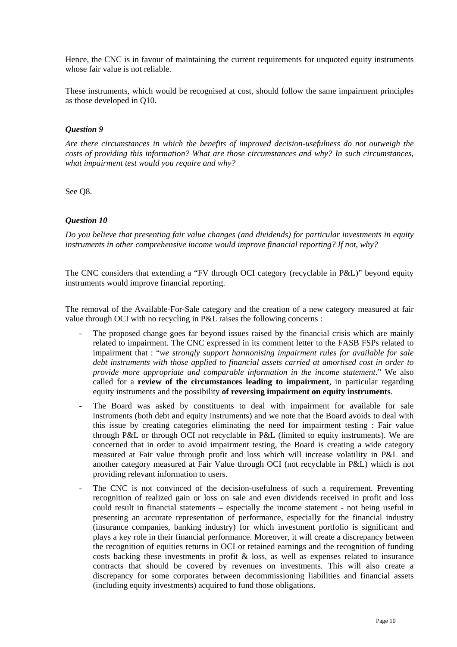Hence, the CNC is in favour of maintaining the current requirements for unquoted equity instruments whose fair value is not reliable.

These instruments, which would be recognised at cost, should follow the same impairment principles as those developed in Q10.

# *Question 9*

*Are there circumstances in which the benefits of improved decision-usefulness do not outweigh the costs of providing this information? What are those circumstances and why? In such circumstances, what impairment test would you require and why?*

See Q8.

#### *Question 10*

*Do you believe that presenting fair value changes (and dividends) for particular investments in equity instruments in other comprehensive income would improve financial reporting? If not, why?*

The CNC considers that extending a "FV through OCI category (recyclable in P&L)" beyond equity instruments would improve financial reporting.

The removal of the Available-For-Sale category and the creation of a new category measured at fair value through OCI with no recycling in P&L raises the following concerns :

- The proposed change goes far beyond issues raised by the financial crisis which are mainly related to impairment. The CNC expressed in its comment letter to the FASB FSPs related to impairment that : "*we strongly support harmonising impairment rules for available for sale debt instruments with those applied to financial assets carried at amortised cost in order to provide more appropriate and comparable information in the income statement*." We also called for a **review of the circumstances leading to impairment**, in particular regarding equity instruments and the possibility **of reversing impairment on equity instruments**.
- The Board was asked by constituents to deal with impairment for available for sale instruments (both debt and equity instruments) and we note that the Board avoids to deal with this issue by creating categories eliminating the need for impairment testing : Fair value through P&L or through OCI not recyclable in P&L (limited to equity instruments). We are concerned that in order to avoid impairment testing, the Board is creating a wide category measured at Fair value through profit and loss which will increase volatility in P&L and another category measured at Fair Value through OCI (not recyclable in P&L) which is not providing relevant information to users.
- The CNC is not convinced of the decision-usefulness of such a requirement. Preventing recognition of realized gain or loss on sale and even dividends received in profit and loss could result in financial statements – especially the income statement - not being useful in presenting an accurate representation of performance, especially for the financial industry (insurance companies, banking industry) for which investment portfolio is significant and plays a key role in their financial performance. Moreover, it will create a discrepancy between the recognition of equities returns in OCI or retained earnings and the recognition of funding costs backing these investments in profit & loss, as well as expenses related to insurance contracts that should be covered by revenues on investments. This will also create a discrepancy for some corporates between decommissioning liabilities and financial assets (including equity investments) acquired to fund those obligations.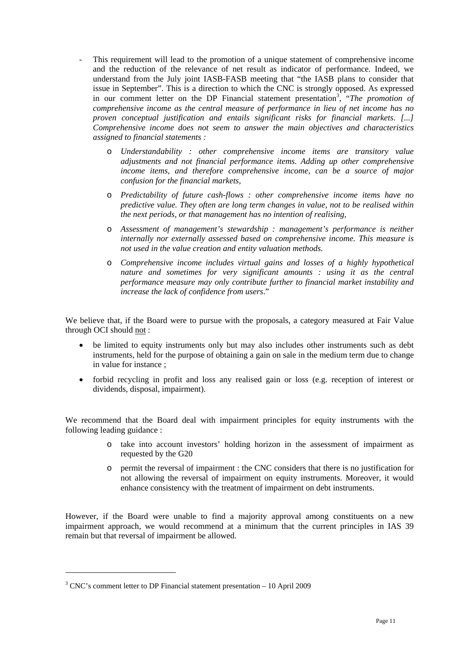- This requirement will lead to the promotion of a unique statement of comprehensive income and the reduction of the relevance of net result as indicator of performance. Indeed, we understand from the July joint IASB-FASB meeting that "the IASB plans to consider that issue in September". This is a direction to which the CNC is strongly opposed. As expressed in our comment letter on the DP Financial statement presentation<sup>[3](#page-13-0)</sup>, "The promotion of *comprehensive income as the central measure of performance in lieu of net income has no proven conceptual justification and entails significant risks for financial markets. [...] Comprehensive income does not seem to answer the main objectives and characteristics assigned to financial statements :*
	- o *Understandability : other comprehensive income items are transitory value adjustments and not financial performance items. Adding up other comprehensive income items, and therefore comprehensive income, can be a source of major confusion for the financial markets,*
	- o *Predictability of future cash-flows : other comprehensive income items have no predictive value. They often are long term changes in value, not to be realised within the next periods, or that management has no intention of realising,*
	- o *Assessment of management's stewardship : management's performance is neither internally nor externally assessed based on comprehensive income. This measure is not used in the value creation and entity valuation methods.*
	- o *Comprehensive income includes virtual gains and losses of a highly hypothetical nature and sometimes for very significant amounts : using it as the central performance measure may only contribute further to financial market instability and increase the lack of confidence from users*."

We believe that, if the Board were to pursue with the proposals, a category measured at Fair Value through OCI should not:

- be limited to equity instruments only but may also includes other instruments such as debt instruments, held for the purpose of obtaining a gain on sale in the medium term due to change in value for instance ;
- forbid recycling in profit and loss any realised gain or loss (e.g. reception of interest or dividends, disposal, impairment).

We recommend that the Board deal with impairment principles for equity instruments with the following leading guidance :

- o take into account investors' holding horizon in the assessment of impairment as requested by the G20
- o permit the reversal of impairment : the CNC considers that there is no justification for not allowing the reversal of impairment on equity instruments. Moreover, it would enhance consistency with the treatment of impairment on debt instruments.

However, if the Board were unable to find a majority approval among constituents on a new impairment approach, we would recommend at a minimum that the current principles in IAS 39 remain but that reversal of impairment be allowed.

 $\overline{a}$ 

<span id="page-13-0"></span> $3$  CNC's comment letter to DP Financial statement presentation  $-10$  April 2009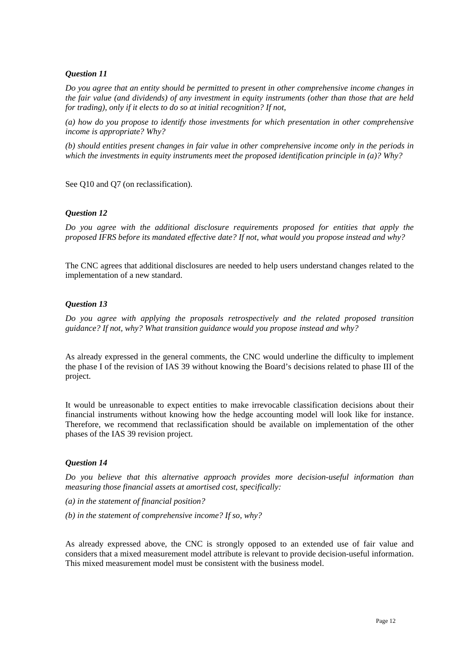# *Question 11*

*Do you agree that an entity should be permitted to present in other comprehensive income changes in the fair value (and dividends) of any investment in equity instruments (other than those that are held for trading), only if it elects to do so at initial recognition? If not,*

*(a) how do you propose to identify those investments for which presentation in other comprehensive income is appropriate? Why?*

*(b) should entities present changes in fair value in other comprehensive income only in the periods in which the investments in equity instruments meet the proposed identification principle in (a)? Why?*

See Q10 and Q7 (on reclassification).

#### *Question 12*

*Do you agree with the additional disclosure requirements proposed for entities that apply the proposed IFRS before its mandated effective date? If not, what would you propose instead and why?*

The CNC agrees that additional disclosures are needed to help users understand changes related to the implementation of a new standard.

#### *Question 13*

*Do you agree with applying the proposals retrospectively and the related proposed transition guidance? If not, why? What transition guidance would you propose instead and why?*

As already expressed in the general comments, the CNC would underline the difficulty to implement the phase I of the revision of IAS 39 without knowing the Board's decisions related to phase III of the project.

It would be unreasonable to expect entities to make irrevocable classification decisions about their financial instruments without knowing how the hedge accounting model will look like for instance. Therefore, we recommend that reclassification should be available on implementation of the other phases of the IAS 39 revision project.

#### *Question 14*

*Do you believe that this alternative approach provides more decision-useful information than measuring those financial assets at amortised cost, specifically:*

- *(a) in the statement of financial position?*
- *(b) in the statement of comprehensive income? If so, why?*

As already expressed above, the CNC is strongly opposed to an extended use of fair value and considers that a mixed measurement model attribute is relevant to provide decision-useful information. This mixed measurement model must be consistent with the business model.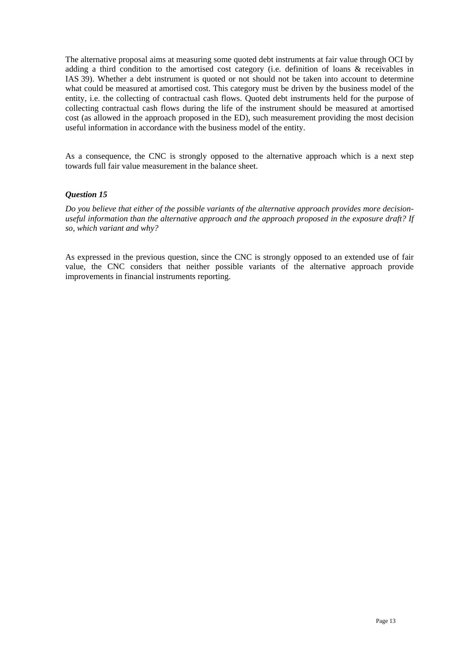The alternative proposal aims at measuring some quoted debt instruments at fair value through OCI by adding a third condition to the amortised cost category (i.e. definition of loans & receivables in IAS 39). Whether a debt instrument is quoted or not should not be taken into account to determine what could be measured at amortised cost. This category must be driven by the business model of the entity, i.e. the collecting of contractual cash flows. Quoted debt instruments held for the purpose of collecting contractual cash flows during the life of the instrument should be measured at amortised cost (as allowed in the approach proposed in the ED), such measurement providing the most decision useful information in accordance with the business model of the entity.

As a consequence, the CNC is strongly opposed to the alternative approach which is a next step towards full fair value measurement in the balance sheet.

# *Question 15*

*Do you believe that either of the possible variants of the alternative approach provides more decisionuseful information than the alternative approach and the approach proposed in the exposure draft? If so, which variant and why?*

As expressed in the previous question, since the CNC is strongly opposed to an extended use of fair value, the CNC considers that neither possible variants of the alternative approach provide improvements in financial instruments reporting.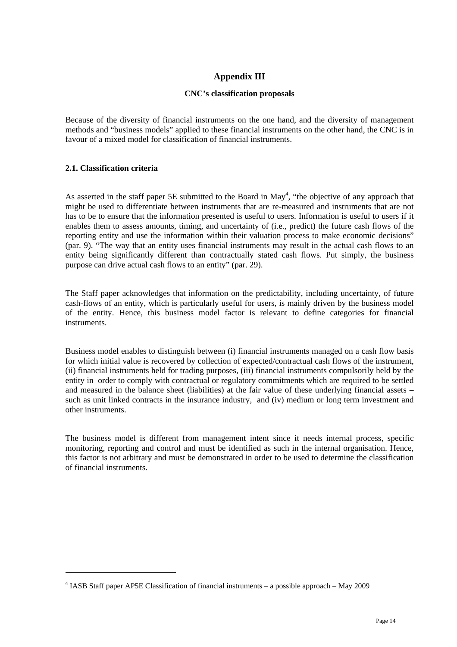# **Appendix III**

## **CNC's classification proposals**

Because of the diversity of financial instruments on the one hand, and the diversity of management methods and "business models" applied to these financial instruments on the other hand, the CNC is in favour of a mixed model for classification of financial instruments.

# **2.1. Classification criteria**

 $\overline{a}$ 

As asserted in the staff paper 5E submitted to the Board in  $May<sup>4</sup>$ , "the objective of any approach that might be used to differentiate between instruments that are re-measured and instruments that are not has to be to ensure that the information presented is useful to users. Information is useful to users if it enables them to assess amounts, timing, and uncertainty of (i.e., predict) the future cash flows of the reporting entity and use the information within their valuation process to make economic decisions" (par. 9). "The way that an entity uses financial instruments may result in the actual cash flows to an entity being significantly different than contractually stated cash flows. Put simply, the business purpose can drive actual cash flows to an entity" (par. 29).

The Staff paper acknowledges that information on the predictability, including uncertainty, of future cash-flows of an entity, which is particularly useful for users, is mainly driven by the business model of the entity. Hence, this business model factor is relevant to define categories for financial instruments.

Business model enables to distinguish between (i) financial instruments managed on a cash flow basis for which initial value is recovered by collection of expected/contractual cash flows of the instrument, (ii) financial instruments held for trading purposes, (iii) financial instruments compulsorily held by the entity in order to comply with contractual or regulatory commitments which are required to be settled and measured in the balance sheet (liabilities) at the fair value of these underlying financial assets – such as unit linked contracts in the insurance industry, and (iv) medium or long term investment and other instruments.

The business model is different from management intent since it needs internal process, specific monitoring, reporting and control and must be identified as such in the internal organisation. Hence, this factor is not arbitrary and must be demonstrated in order to be used to determine the classification of financial instruments.

<span id="page-16-0"></span> $4$  IASB Staff paper AP5E Classification of financial instruments – a possible approach – May 2009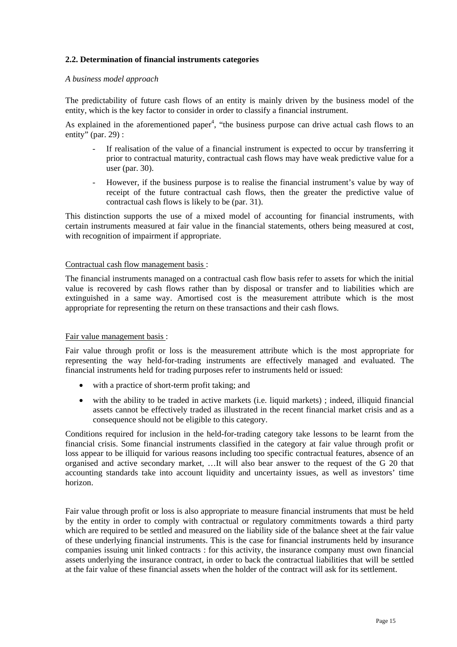## **2.2. Determination of financial instruments categories**

#### *A business model approach*

The predictability of future cash flows of an entity is mainly driven by the business model of the entity, which is the key factor to consider in order to classify a financial instrument.

As explained in the aforementioned paper<sup>4</sup>, "the business purpose can drive actual cash flows to an entity" (par. 29) :

- If realisation of the value of a financial instrument is expected to occur by transferring it prior to contractual maturity, contractual cash flows may have weak predictive value for a user (par. 30).
- However, if the business purpose is to realise the financial instrument's value by way of receipt of the future contractual cash flows, then the greater the predictive value of contractual cash flows is likely to be (par. 31).

This distinction supports the use of a mixed model of accounting for financial instruments, with certain instruments measured at fair value in the financial statements, others being measured at cost, with recognition of impairment if appropriate.

#### Contractual cash flow management basis :

The financial instruments managed on a contractual cash flow basis refer to assets for which the initial value is recovered by cash flows rather than by disposal or transfer and to liabilities which are extinguished in a same way. Amortised cost is the measurement attribute which is the most appropriate for representing the return on these transactions and their cash flows.

#### Fair value management basis :

Fair value through profit or loss is the measurement attribute which is the most appropriate for representing the way held-for-trading instruments are effectively managed and evaluated. The financial instruments held for trading purposes refer to instruments held or issued:

- with a practice of short-term profit taking; and
- with the ability to be traded in active markets (i.e. liquid markets) ; indeed, illiquid financial assets cannot be effectively traded as illustrated in the recent financial market crisis and as a consequence should not be eligible to this category.

Conditions required for inclusion in the held-for-trading category take lessons to be learnt from the financial crisis. Some financial instruments classified in the category at fair value through profit or loss appear to be illiquid for various reasons including too specific contractual features, absence of an organised and active secondary market, …It will also bear answer to the request of the G 20 that accounting standards take into account liquidity and uncertainty issues, as well as investors' time horizon.

Fair value through profit or loss is also appropriate to measure financial instruments that must be held by the entity in order to comply with contractual or regulatory commitments towards a third party which are required to be settled and measured on the liability side of the balance sheet at the fair value of these underlying financial instruments. This is the case for financial instruments held by insurance companies issuing unit linked contracts : for this activity, the insurance company must own financial assets underlying the insurance contract, in order to back the contractual liabilities that will be settled at the fair value of these financial assets when the holder of the contract will ask for its settlement.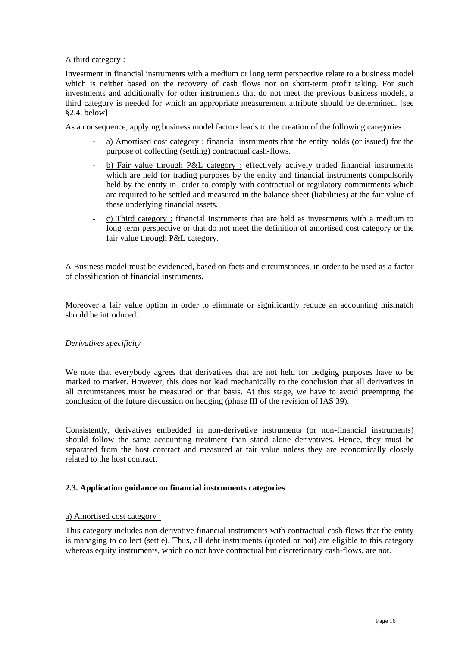# A third category :

Investment in financial instruments with a medium or long term perspective relate to a business model which is neither based on the recovery of cash flows nor on short-term profit taking. For such investments and additionally for other instruments that do not meet the previous business models, a third category is needed for which an appropriate measurement attribute should be determined. [see §2.4. below]

As a consequence, applying business model factors leads to the creation of the following categories :

- a) Amortised cost category : financial instruments that the entity holds (or issued) for the purpose of collecting (settling) contractual cash-flows.
- b) Fair value through P&L category : effectively actively traded financial instruments which are held for trading purposes by the entity and financial instruments compulsorily held by the entity in order to comply with contractual or regulatory commitments which are required to be settled and measured in the balance sheet (liabilities) at the fair value of these underlying financial assets.
- c) Third category : financial instruments that are held as investments with a medium to long term perspective or that do not meet the definition of amortised cost category or the fair value through P&L category.

A Business model must be evidenced, based on facts and circumstances, in order to be used as a factor of classification of financial instruments.

Moreover a fair value option in order to eliminate or significantly reduce an accounting mismatch should be introduced.

#### *Derivatives specificity*

We note that everybody agrees that derivatives that are not held for hedging purposes have to be marked to market. However, this does not lead mechanically to the conclusion that all derivatives in all circumstances must be measured on that basis. At this stage, we have to avoid preempting the conclusion of the future discussion on hedging (phase III of the revision of IAS 39).

Consistently, derivatives embedded in non-derivative instruments (or non-financial instruments) should follow the same accounting treatment than stand alone derivatives. Hence, they must be separated from the host contract and measured at fair value unless they are economically closely related to the host contract.

#### **2.3. Application guidance on financial instruments categories**

#### a) Amortised cost category :

This category includes non-derivative financial instruments with contractual cash-flows that the entity is managing to collect (settle). Thus, all debt instruments (quoted or not) are eligible to this category whereas equity instruments, which do not have contractual but discretionary cash-flows, are not.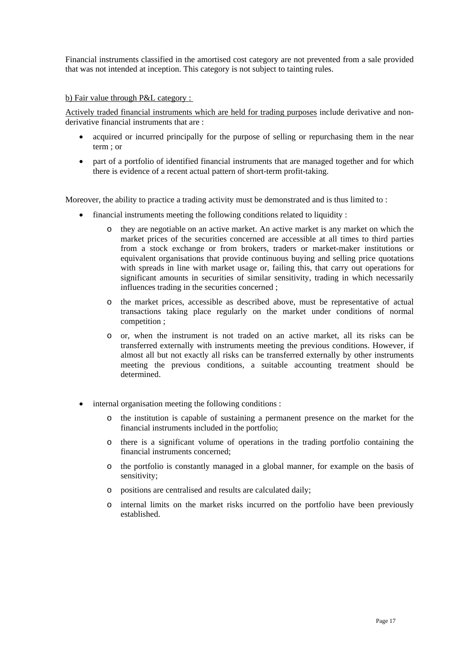Financial instruments classified in the amortised cost category are not prevented from a sale provided that was not intended at inception. This category is not subject to tainting rules.

#### b) Fair value through P&L category :

Actively traded financial instruments which are held for trading purposes include derivative and nonderivative financial instruments that are :

- acquired or incurred principally for the purpose of selling or repurchasing them in the near term ; or
- part of a portfolio of identified financial instruments that are managed together and for which there is evidence of a recent actual pattern of short-term profit-taking.

Moreover, the ability to practice a trading activity must be demonstrated and is thus limited to:

- financial instruments meeting the following conditions related to liquidity :
	- o they are negotiable on an active market. An active market is any market on which the market prices of the securities concerned are accessible at all times to third parties from a stock exchange or from brokers, traders or market-maker institutions or equivalent organisations that provide continuous buying and selling price quotations with spreads in line with market usage or, failing this, that carry out operations for significant amounts in securities of similar sensitivity, trading in which necessarily influences trading in the securities concerned ;
	- o the market prices, accessible as described above, must be representative of actual transactions taking place regularly on the market under conditions of normal competition ;
	- o or, when the instrument is not traded on an active market, all its risks can be transferred externally with instruments meeting the previous conditions. However, if almost all but not exactly all risks can be transferred externally by other instruments meeting the previous conditions, a suitable accounting treatment should be determined.
- internal organisation meeting the following conditions :
	- o the institution is capable of sustaining a permanent presence on the market for the financial instruments included in the portfolio;
	- o there is a significant volume of operations in the trading portfolio containing the financial instruments concerned;
	- o the portfolio is constantly managed in a global manner, for example on the basis of sensitivity;
	- o positions are centralised and results are calculated daily;
	- o internal limits on the market risks incurred on the portfolio have been previously established.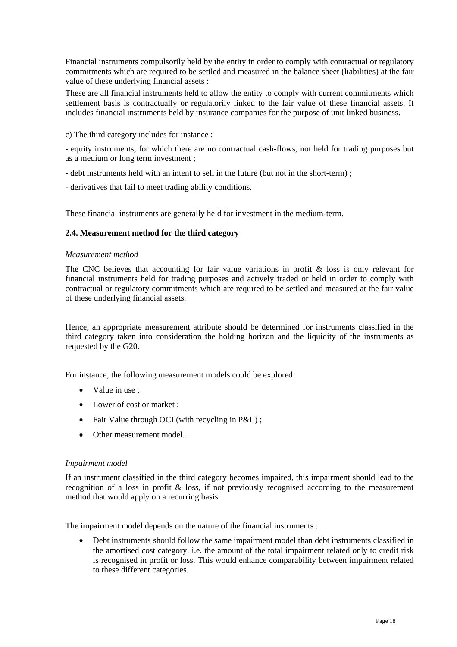Financial instruments compulsorily held by the entity in order to comply with contractual or regulatory commitments which are required to be settled and measured in the balance sheet (liabilities) at the fair value of these underlying financial assets :

These are all financial instruments held to allow the entity to comply with current commitments which settlement basis is contractually or regulatorily linked to the fair value of these financial assets. It includes financial instruments held by insurance companies for the purpose of unit linked business.

#### c) The third category includes for instance :

- equity instruments, for which there are no contractual cash-flows, not held for trading purposes but as a medium or long term investment ;

- debt instruments held with an intent to sell in the future (but not in the short-term) ;
- derivatives that fail to meet trading ability conditions.

These financial instruments are generally held for investment in the medium-term.

# **2.4. Measurement method for the third category**

#### *Measurement method*

The CNC believes that accounting for fair value variations in profit  $\&$  loss is only relevant for financial instruments held for trading purposes and actively traded or held in order to comply with contractual or regulatory commitments which are required to be settled and measured at the fair value of these underlying financial assets.

Hence, an appropriate measurement attribute should be determined for instruments classified in the third category taken into consideration the holding horizon and the liquidity of the instruments as requested by the G20.

For instance, the following measurement models could be explored :

- Value in use :
- Lower of cost or market :
- Fair Value through OCI (with recycling in P&L);
- Other measurement model...

#### *Impairment model*

If an instrument classified in the third category becomes impaired, this impairment should lead to the recognition of a loss in profit & loss, if not previously recognised according to the measurement method that would apply on a recurring basis.

The impairment model depends on the nature of the financial instruments :

• Debt instruments should follow the same impairment model than debt instruments classified in the amortised cost category, i.e. the amount of the total impairment related only to credit risk is recognised in profit or loss. This would enhance comparability between impairment related to these different categories.